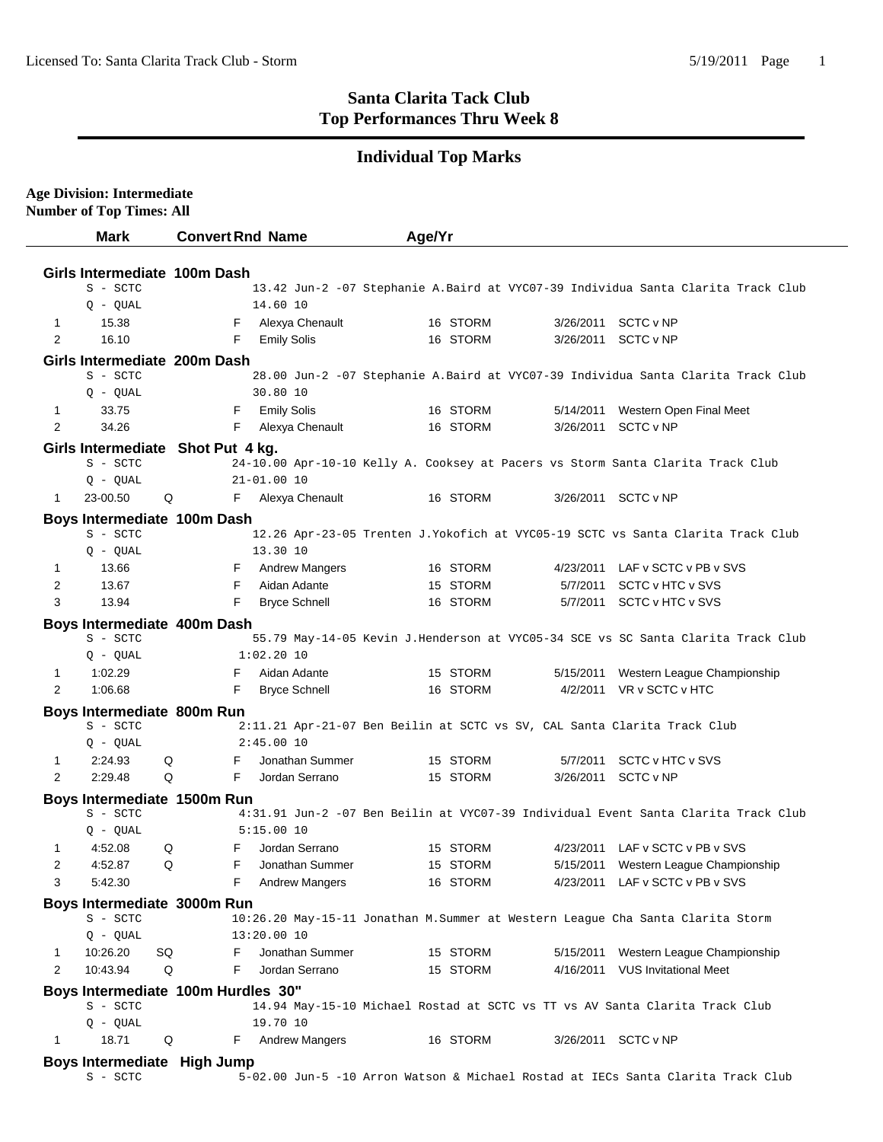**Age Division: Intermediate**

 $\overline{a}$ 

## **Santa Clarita Tack Club Top Performances Thru Week 8**

## **Individual Top Marks**

|                                                                                                                   | <b>Number of Top Times: All</b>           |                                             |                                                                                 |                                                                                    |  |  |
|-------------------------------------------------------------------------------------------------------------------|-------------------------------------------|---------------------------------------------|---------------------------------------------------------------------------------|------------------------------------------------------------------------------------|--|--|
|                                                                                                                   | <b>Mark</b>                               | <b>Convert Rnd Name</b>                     | Age/Yr                                                                          |                                                                                    |  |  |
|                                                                                                                   |                                           |                                             |                                                                                 |                                                                                    |  |  |
|                                                                                                                   | Girls Intermediate 100m Dash              |                                             |                                                                                 |                                                                                    |  |  |
|                                                                                                                   | S - SCTC                                  |                                             |                                                                                 | 13.42 Jun-2 -07 Stephanie A.Baird at VYC07-39 Individua Santa Clarita Track Club   |  |  |
|                                                                                                                   | $Q - QUAL$                                | 14.60 10                                    |                                                                                 |                                                                                    |  |  |
| 1<br>2                                                                                                            | 15.38                                     | Alexya Chenault<br>F                        | 16 STORM                                                                        | SCTC v NP<br>3/26/2011                                                             |  |  |
|                                                                                                                   | 16.10                                     | <b>Emily Solis</b><br>F                     | 16 STORM                                                                        | 3/26/2011<br>SCTC v NP                                                             |  |  |
| Girls Intermediate 200m Dash                                                                                      |                                           |                                             |                                                                                 |                                                                                    |  |  |
|                                                                                                                   | S - SCTC                                  |                                             |                                                                                 | 28.00 Jun-2 -07 Stephanie A.Baird at VYC07-39 Individua Santa Clarita Track Club   |  |  |
| 1                                                                                                                 | $Q - QUAL$<br>33.75                       | 30.80 10<br>F                               | 16 STORM                                                                        | 5/14/2011<br>Western Open Final Meet                                               |  |  |
| $\overline{2}$                                                                                                    | 34.26                                     | <b>Emily Solis</b><br>Alexya Chenault<br>F  | 16 STORM                                                                        | SCTC v NP<br>3/26/2011                                                             |  |  |
|                                                                                                                   |                                           |                                             |                                                                                 |                                                                                    |  |  |
|                                                                                                                   | S - SCTC                                  | Girls Intermediate Shot Put 4 kg.           |                                                                                 |                                                                                    |  |  |
|                                                                                                                   | $Q - QUAL$                                | $21 - 01.0010$                              | 24-10.00 Apr-10-10 Kelly A. Cooksey at Pacers vs Storm Santa Clarita Track Club |                                                                                    |  |  |
| 1                                                                                                                 | 23-00.50                                  | Q<br>F<br>Alexya Chenault                   | 16 STORM                                                                        | 3/26/2011 SCTC v NP                                                                |  |  |
|                                                                                                                   |                                           |                                             |                                                                                 |                                                                                    |  |  |
|                                                                                                                   | Boys Intermediate 100m Dash<br>S - SCTC   |                                             |                                                                                 | 12.26 Apr-23-05 Trenten J.Yokofich at VYC05-19 SCTC vs Santa Clarita Track Club    |  |  |
|                                                                                                                   | Q - QUAL                                  | 13.30 10                                    |                                                                                 |                                                                                    |  |  |
| $\mathbf{1}$                                                                                                      | 13.66                                     | F.<br><b>Andrew Mangers</b>                 | 16 STORM                                                                        | LAF v SCTC v PB v SVS<br>4/23/2011                                                 |  |  |
| $\overline{2}$                                                                                                    | 13.67                                     | F<br>Aidan Adante                           | 15 STORM                                                                        | 5/7/2011 SCTC v HTC v SVS                                                          |  |  |
| 3                                                                                                                 | 13.94                                     | <b>Bryce Schnell</b><br>F                   | 16 STORM                                                                        | 5/7/2011 SCTC v HTC v SVS                                                          |  |  |
|                                                                                                                   | Boys Intermediate 400m Dash               |                                             |                                                                                 |                                                                                    |  |  |
|                                                                                                                   | S - SCTC                                  |                                             |                                                                                 | 55.79 May-14-05 Kevin J.Henderson at VYC05-34 SCE vs SC Santa Clarita Track Club   |  |  |
|                                                                                                                   | Q - QUAL                                  | $1:02.20$ 10                                |                                                                                 |                                                                                    |  |  |
| $\mathbf{1}$                                                                                                      | 1:02.29                                   | Aidan Adante<br>F                           | 15 STORM                                                                        | 5/15/2011<br>Western League Championship                                           |  |  |
| 2                                                                                                                 | 1:06.68                                   | F<br><b>Bryce Schnell</b>                   | 16 STORM                                                                        | 4/2/2011 VR v SCTC v HTC                                                           |  |  |
|                                                                                                                   | Boys Intermediate 800m Run                |                                             |                                                                                 |                                                                                    |  |  |
|                                                                                                                   | S - SCTC                                  |                                             | 2:11.21 Apr-21-07 Ben Beilin at SCTC vs SV, CAL Santa Clarita Track Club        |                                                                                    |  |  |
|                                                                                                                   | $Q - QUAL$                                | 2:45.0010                                   |                                                                                 |                                                                                    |  |  |
| $\mathbf{1}$                                                                                                      | 2:24.93                                   | Jonathan Summer<br>Q<br>F                   | 15 STORM                                                                        | 5/7/2011 SCTC v HTC v SVS                                                          |  |  |
| $\overline{2}$                                                                                                    | 2:29.48                                   | F<br>Jordan Serrano<br>Q                    | 15 STORM                                                                        | 3/26/2011 SCTC v NP                                                                |  |  |
|                                                                                                                   | Boys Intermediate 1500m Run               |                                             |                                                                                 |                                                                                    |  |  |
|                                                                                                                   | S - SCTC                                  |                                             |                                                                                 | 4:31.91 Jun-2 -07 Ben Beilin at VYC07-39 Individual Event Santa Clarita Track Club |  |  |
|                                                                                                                   | $Q - QUAL$                                | 5:15.0010                                   |                                                                                 |                                                                                    |  |  |
|                                                                                                                   | 4:52.08<br><b>Q</b>                       | F Jordan Serrano                            | 15 STORM                                                                        | 4/23/2011 LAF v SCTC v PB v SVS                                                    |  |  |
| 2                                                                                                                 | 4:52.87                                   | Jonathan Summer<br>Q<br>F                   | 15 STORM                                                                        | 5/15/2011 Western League Championship                                              |  |  |
| 3                                                                                                                 | 5:42.30                                   | F<br><b>Andrew Mangers</b>                  | 16 STORM                                                                        | 4/23/2011 LAF v SCTC v PB v SVS                                                    |  |  |
|                                                                                                                   | Boys Intermediate 3000m Run               |                                             |                                                                                 |                                                                                    |  |  |
|                                                                                                                   | S - SCTC                                  |                                             | 10:26.20 May-15-11 Jonathan M. Summer at Western League Cha Santa Clarita Storm |                                                                                    |  |  |
|                                                                                                                   | $Q - QUAL$                                | 13:20.00 10                                 |                                                                                 |                                                                                    |  |  |
| 1<br>$\overline{2}$                                                                                               | 10:26.20<br>SQ<br>10:43.94                | F<br>Jonathan Summer<br>F<br>Jordan Serrano | 15 STORM                                                                        | Western League Championship<br>5/15/2011                                           |  |  |
|                                                                                                                   |                                           | Q                                           | 15 STORM                                                                        | 4/16/2011<br><b>VUS Invitational Meet</b>                                          |  |  |
| Boys Intermediate 100m Hurdles 30"<br>14.94 May-15-10 Michael Rostad at SCTC vs TT vs AV Santa Clarita Track Club |                                           |                                             |                                                                                 |                                                                                    |  |  |
|                                                                                                                   | S - SCTC<br>$Q - QUAL$                    | 19.70 10                                    |                                                                                 |                                                                                    |  |  |
| $\mathbf{1}$                                                                                                      | 18.71                                     | <b>Andrew Mangers</b><br>Q<br>F             | 16 STORM                                                                        | 3/26/2011 SCTC v NP                                                                |  |  |
|                                                                                                                   |                                           |                                             |                                                                                 |                                                                                    |  |  |
|                                                                                                                   | Boys Intermediate High Jump<br>$S - SCTC$ |                                             |                                                                                 | 5-02.00 Jun-5 -10 Arron Watson & Michael Rostad at IECs Santa Clarita Track Club   |  |  |
|                                                                                                                   |                                           |                                             |                                                                                 |                                                                                    |  |  |